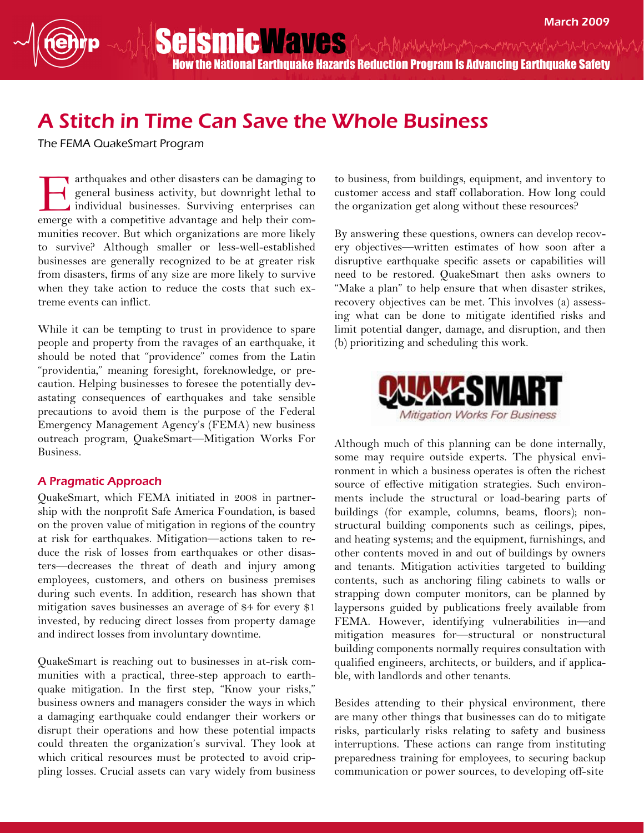SeismicWaves Antal Munderproven and the moth How the National Earthquake Hazards Reduction Program Is Advancing Earthquake Safety

## A Stitch in Time Can Save the Whole Business

The FEMA QuakeSmart Program

arthquakes and other disasters can be damaging to general business activity, but downright lethal to individual businesses. Surviving enterprises can emerge with a competitive advantage and help their communities recover. But which organizations are more likely to survive? Although smaller or less-well-established businesses are generally recognized to be at greater risk from disasters, firms of any size are more likely to survive when they take action to reduce the costs that such extreme events can inflict. E

While it can be tempting to trust in providence to spare people and property from the ravages of an earthquake, it should be noted that "providence" comes from the Latin "providentia," meaning foresight, foreknowledge, or precaution. Helping businesses to foresee the potentially devastating consequences of earthquakes and take sensible precautions to avoid them is the purpose of the Federal Emergency Management Agency's (FEMA) new business outreach program, QuakeSmart—Mitigation Works For Business.

## A Pragmatic Approach

QuakeSmart, which FEMA initiated in 2008 in partnership with the nonprofit Safe America Foundation, is based on the proven value of mitigation in regions of the country at risk for earthquakes. Mitigation—actions taken to reduce the risk of losses from earthquakes or other disasters—decreases the threat of death and injury among employees, customers, and others on business premises during such events. In addition, research has shown that mitigation saves businesses an average of \$4 for every \$1 invested, by reducing direct losses from property damage and indirect losses from involuntary downtime.

QuakeSmart is reaching out to businesses in at-risk communities with a practical, three-step approach to earthquake mitigation. In the first step, "Know your risks," business owners and managers consider the ways in which a damaging earthquake could endanger their workers or disrupt their operations and how these potential impacts could threaten the organization's survival. They look at which critical resources must be protected to avoid crippling losses. Crucial assets can vary widely from business

to business, from buildings, equipment, and inventory to customer access and staff collaboration. How long could the organization get along without these resources?

By answering these questions, owners can develop recovery objectives—written estimates of how soon after a disruptive earthquake specific assets or capabilities will need to be restored. QuakeSmart then asks owners to "Make a plan" to help ensure that when disaster strikes, recovery objectives can be met. This involves (a) assessing what can be done to mitigate identified risks and limit potential danger, damage, and disruption, and then (b) prioritizing and scheduling this work.



Although much of this planning can be done internally, some may require outside experts. The physical environment in which a business operates is often the richest source of effective mitigation strategies. Such environments include the structural or load-bearing parts of buildings (for example, columns, beams, floors); nonstructural building components such as ceilings, pipes, and heating systems; and the equipment, furnishings, and other contents moved in and out of buildings by owners and tenants. Mitigation activities targeted to building contents, such as anchoring filing cabinets to walls or strapping down computer monitors, can be planned by laypersons guided by publications freely available from FEMA. However, identifying vulnerabilities in—and mitigation measures for—structural or nonstructural building components normally requires consultation with qualified engineers, architects, or builders, and if applicable, with landlords and other tenants.

Besides attending to their physical environment, there are many other things that businesses can do to mitigate risks, particularly risks relating to safety and business interruptions. These actions can range from instituting preparedness training for employees, to securing backup communication or power sources, to developing off-site